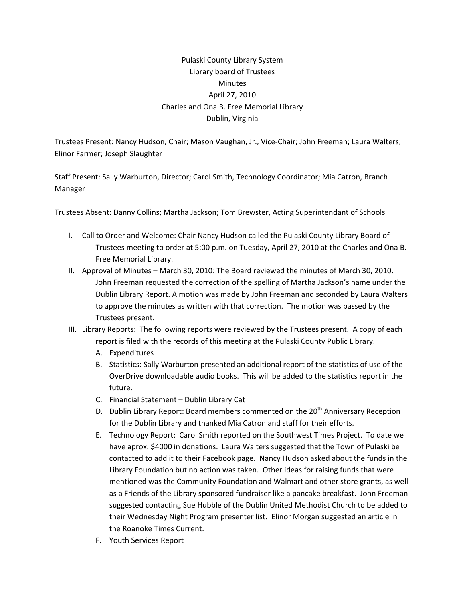## Pulaski County Library System Library board of Trustees **Minutes** April 27, 2010 Charles and Ona B. Free Memorial Library Dublin, Virginia

Trustees Present: Nancy Hudson, Chair; Mason Vaughan, Jr., Vice‐Chair; John Freeman; Laura Walters; Elinor Farmer; Joseph Slaughter

Staff Present: Sally Warburton, Director; Carol Smith, Technology Coordinator; Mia Catron, Branch Manager

Trustees Absent: Danny Collins; Martha Jackson; Tom Brewster, Acting Superintendant of Schools

- I. Call to Order and Welcome: Chair Nancy Hudson called the Pulaski County Library Board of Trustees meeting to order at 5:00 p.m. on Tuesday, April 27, 2010 at the Charles and Ona B. Free Memorial Library.
- II. Approval of Minutes March 30, 2010: The Board reviewed the minutes of March 30, 2010. John Freeman requested the correction of the spelling of Martha Jackson's name under the Dublin Library Report. A motion was made by John Freeman and seconded by Laura Walters to approve the minutes as written with that correction. The motion was passed by the Trustees present.
- III. Library Reports: The following reports were reviewed by the Trustees present. A copy of each report is filed with the records of this meeting at the Pulaski County Public Library.
	- A. Expenditures
	- B. Statistics: Sally Warburton presented an additional report of the statistics of use of the OverDrive downloadable audio books. This will be added to the statistics report in the future.
	- C. Financial Statement Dublin Library Cat
	- D. Dublin Library Report: Board members commented on the  $20<sup>th</sup>$  Anniversary Reception for the Dublin Library and thanked Mia Catron and staff for their efforts.
	- E. Technology Report: Carol Smith reported on the Southwest Times Project. To date we have aprox. \$4000 in donations. Laura Walters suggested that the Town of Pulaski be contacted to add it to their Facebook page. Nancy Hudson asked about the funds in the Library Foundation but no action was taken. Other ideas for raising funds that were mentioned was the Community Foundation and Walmart and other store grants, as well as a Friends of the Library sponsored fundraiser like a pancake breakfast. John Freeman suggested contacting Sue Hubble of the Dublin United Methodist Church to be added to their Wednesday Night Program presenter list. Elinor Morgan suggested an article in the Roanoke Times Current.
	- F. Youth Services Report